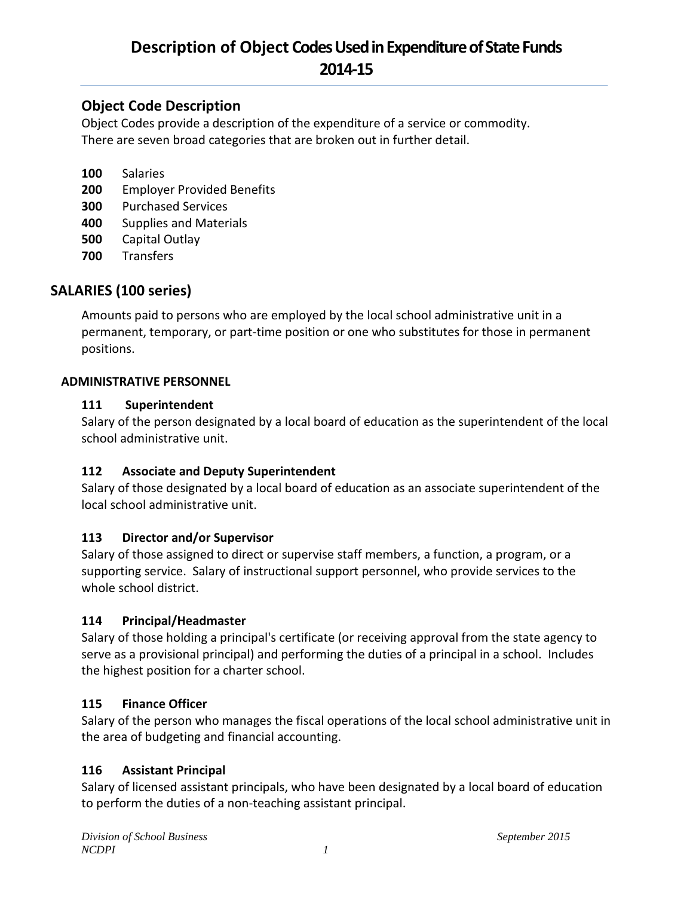## **Object Code Description**

Object Codes provide a description of the expenditure of a service or commodity. There are seven broad categories that are broken out in further detail.

- **100** Salaries
- **200** Employer Provided Benefits
- **300** Purchased Services
- **400** Supplies and Materials
- **500** Capital Outlay
- **700** Transfers

## **SALARIES (100 series)**

Amounts paid to persons who are employed by the local school administrative unit in a permanent, temporary, or part-time position or one who substitutes for those in permanent positions.

#### **ADMINISTRATIVE PERSONNEL**

#### **111 Superintendent**

Salary of the person designated by a local board of education as the superintendent of the local school administrative unit.

#### **112 Associate and Deputy Superintendent**

Salary of those designated by a local board of education as an associate superintendent of the local school administrative unit.

#### **113 Director and/or Supervisor**

Salary of those assigned to direct or supervise staff members, a function, a program, or a supporting service. Salary of instructional support personnel, who provide services to the whole school district.

#### **114 Principal/Headmaster**

Salary of those holding a principal's certificate (or receiving approval from the state agency to serve as a provisional principal) and performing the duties of a principal in a school. Includes the highest position for a charter school.

#### **115 Finance Officer**

Salary of the person who manages the fiscal operations of the local school administrative unit in the area of budgeting and financial accounting.

#### **116 Assistant Principal**

Salary of licensed assistant principals, who have been designated by a local board of education to perform the duties of a non-teaching assistant principal.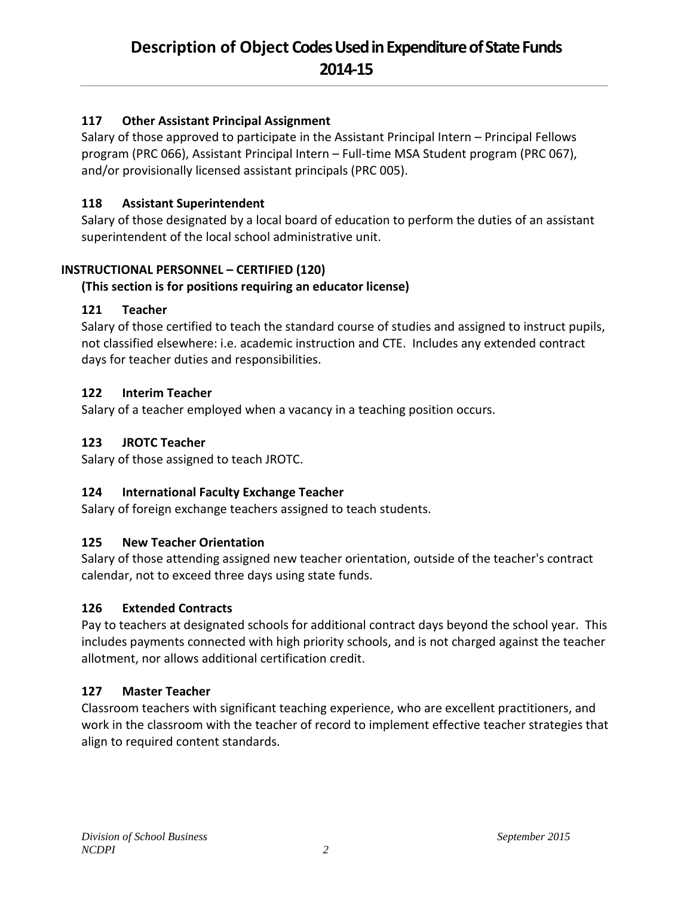## **117 Other Assistant Principal Assignment**

Salary of those approved to participate in the Assistant Principal Intern – Principal Fellows program (PRC 066), Assistant Principal Intern – Full-time MSA Student program (PRC 067), and/or provisionally licensed assistant principals (PRC 005).

### **118 Assistant Superintendent**

Salary of those designated by a local board of education to perform the duties of an assistant superintendent of the local school administrative unit.

## **INSTRUCTIONAL PERSONNEL – CERTIFIED (120)**

## **(This section is for positions requiring an educator license)**

### **121 Teacher**

Salary of those certified to teach the standard course of studies and assigned to instruct pupils, not classified elsewhere: i.e. academic instruction and CTE. Includes any extended contract days for teacher duties and responsibilities.

### **122 Interim Teacher**

Salary of a teacher employed when a vacancy in a teaching position occurs.

### **123 JROTC Teacher**

Salary of those assigned to teach JROTC.

## **124 International Faculty Exchange Teacher**

Salary of foreign exchange teachers assigned to teach students.

#### **125 New Teacher Orientation**

Salary of those attending assigned new teacher orientation, outside of the teacher's contract calendar, not to exceed three days using state funds.

#### **126 Extended Contracts**

Pay to teachers at designated schools for additional contract days beyond the school year. This includes payments connected with high priority schools, and is not charged against the teacher allotment, nor allows additional certification credit.

## **127 Master Teacher**

Classroom teachers with significant teaching experience, who are excellent practitioners, and work in the classroom with the teacher of record to implement effective teacher strategies that align to required content standards.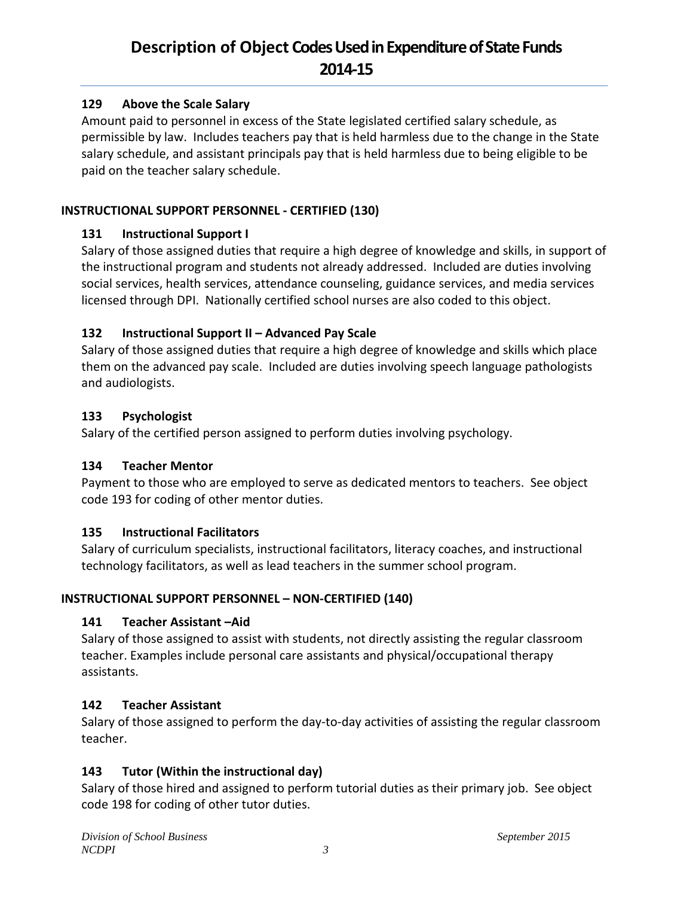#### **129 Above the Scale Salary**

Amount paid to personnel in excess of the State legislated certified salary schedule, as permissible by law. Includes teachers pay that is held harmless due to the change in the State salary schedule, and assistant principals pay that is held harmless due to being eligible to be paid on the teacher salary schedule.

#### **INSTRUCTIONAL SUPPORT PERSONNEL - CERTIFIED (130)**

#### **131 Instructional Support I**

Salary of those assigned duties that require a high degree of knowledge and skills, in support of the instructional program and students not already addressed. Included are duties involving social services, health services, attendance counseling, guidance services, and media services licensed through DPI. Nationally certified school nurses are also coded to this object.

#### **132 Instructional Support II – Advanced Pay Scale**

Salary of those assigned duties that require a high degree of knowledge and skills which place them on the advanced pay scale. Included are duties involving speech language pathologists and audiologists.

#### **133 Psychologist**

Salary of the certified person assigned to perform duties involving psychology.

#### **134 Teacher Mentor**

Payment to those who are employed to serve as dedicated mentors to teachers. See object code 193 for coding of other mentor duties.

#### **135 Instructional Facilitators**

Salary of curriculum specialists, instructional facilitators, literacy coaches, and instructional technology facilitators, as well as lead teachers in the summer school program.

#### **INSTRUCTIONAL SUPPORT PERSONNEL – NON-CERTIFIED (140)**

#### **141 Teacher Assistant –Aid**

Salary of those assigned to assist with students, not directly assisting the regular classroom teacher. Examples include personal care assistants and physical/occupational therapy assistants.

#### **142 Teacher Assistant**

Salary of those assigned to perform the day-to-day activities of assisting the regular classroom teacher.

#### **143 Tutor (Within the instructional day)**

Salary of those hired and assigned to perform tutorial duties as their primary job. See object code 198 for coding of other tutor duties.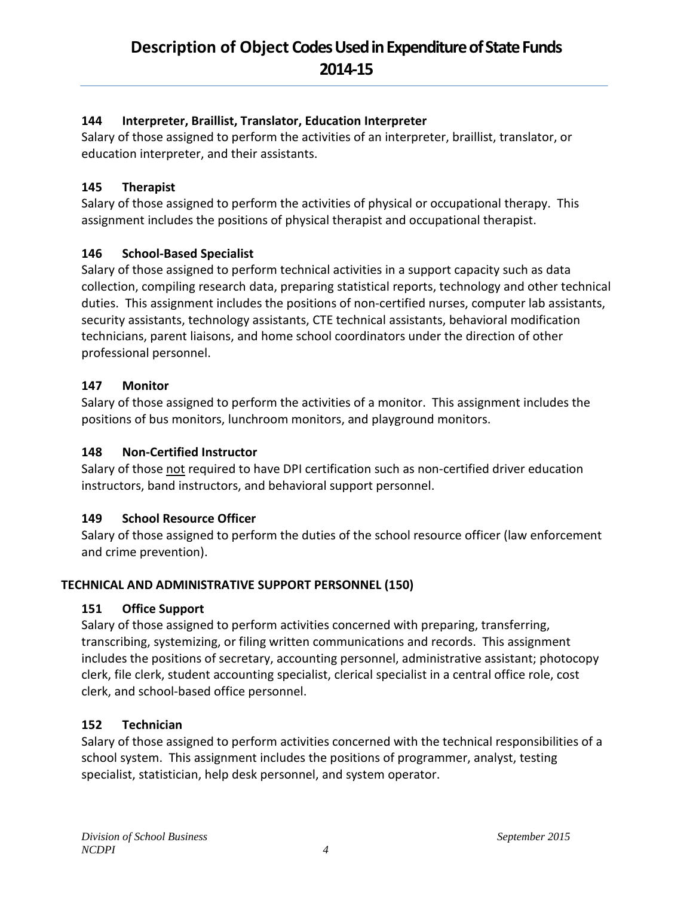### **144 Interpreter, Braillist, Translator, Education Interpreter**

Salary of those assigned to perform the activities of an interpreter, braillist, translator, or education interpreter, and their assistants.

### **145 Therapist**

Salary of those assigned to perform the activities of physical or occupational therapy. This assignment includes the positions of physical therapist and occupational therapist.

### **146 School-Based Specialist**

Salary of those assigned to perform technical activities in a support capacity such as data collection, compiling research data, preparing statistical reports, technology and other technical duties. This assignment includes the positions of non-certified nurses, computer lab assistants, security assistants, technology assistants, CTE technical assistants, behavioral modification technicians, parent liaisons, and home school coordinators under the direction of other professional personnel.

### **147 Monitor**

Salary of those assigned to perform the activities of a monitor. This assignment includes the positions of bus monitors, lunchroom monitors, and playground monitors.

#### **148 Non-Certified Instructor**

Salary of those not required to have DPI certification such as non-certified driver education instructors, band instructors, and behavioral support personnel.

#### **149 School Resource Officer**

Salary of those assigned to perform the duties of the school resource officer (law enforcement and crime prevention).

## **TECHNICAL AND ADMINISTRATIVE SUPPORT PERSONNEL (150)**

#### **151 Office Support**

Salary of those assigned to perform activities concerned with preparing, transferring, transcribing, systemizing, or filing written communications and records. This assignment includes the positions of secretary, accounting personnel, administrative assistant; photocopy clerk, file clerk, student accounting specialist, clerical specialist in a central office role, cost clerk, and school-based office personnel.

#### **152 Technician**

Salary of those assigned to perform activities concerned with the technical responsibilities of a school system. This assignment includes the positions of programmer, analyst, testing specialist, statistician, help desk personnel, and system operator.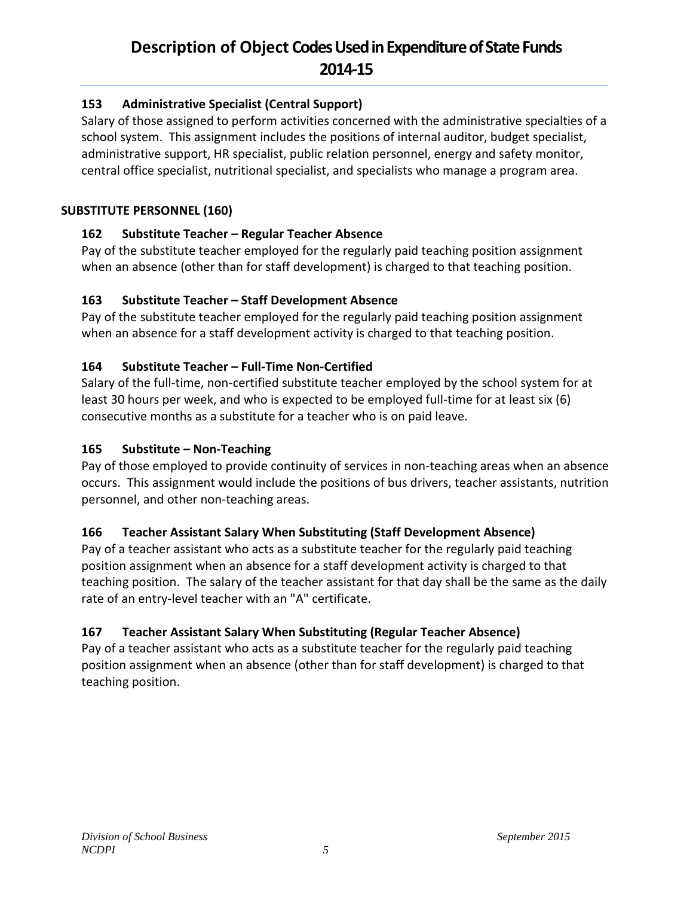### **153 Administrative Specialist (Central Support)**

Salary of those assigned to perform activities concerned with the administrative specialties of a school system. This assignment includes the positions of internal auditor, budget specialist, administrative support, HR specialist, public relation personnel, energy and safety monitor, central office specialist, nutritional specialist, and specialists who manage a program area.

#### **SUBSTITUTE PERSONNEL (160)**

### **162 Substitute Teacher – Regular Teacher Absence**

Pay of the substitute teacher employed for the regularly paid teaching position assignment when an absence (other than for staff development) is charged to that teaching position.

#### **163 Substitute Teacher – Staff Development Absence**

Pay of the substitute teacher employed for the regularly paid teaching position assignment when an absence for a staff development activity is charged to that teaching position.

### **164 Substitute Teacher – Full-Time Non-Certified**

Salary of the full-time, non-certified substitute teacher employed by the school system for at least 30 hours per week, and who is expected to be employed full-time for at least six (6) consecutive months as a substitute for a teacher who is on paid leave.

#### **165 Substitute – Non-Teaching**

Pay of those employed to provide continuity of services in non-teaching areas when an absence occurs. This assignment would include the positions of bus drivers, teacher assistants, nutrition personnel, and other non-teaching areas.

## **166 Teacher Assistant Salary When Substituting (Staff Development Absence)**

Pay of a teacher assistant who acts as a substitute teacher for the regularly paid teaching position assignment when an absence for a staff development activity is charged to that teaching position. The salary of the teacher assistant for that day shall be the same as the daily rate of an entry-level teacher with an "A" certificate.

## **167 Teacher Assistant Salary When Substituting (Regular Teacher Absence)**

Pay of a teacher assistant who acts as a substitute teacher for the regularly paid teaching position assignment when an absence (other than for staff development) is charged to that teaching position.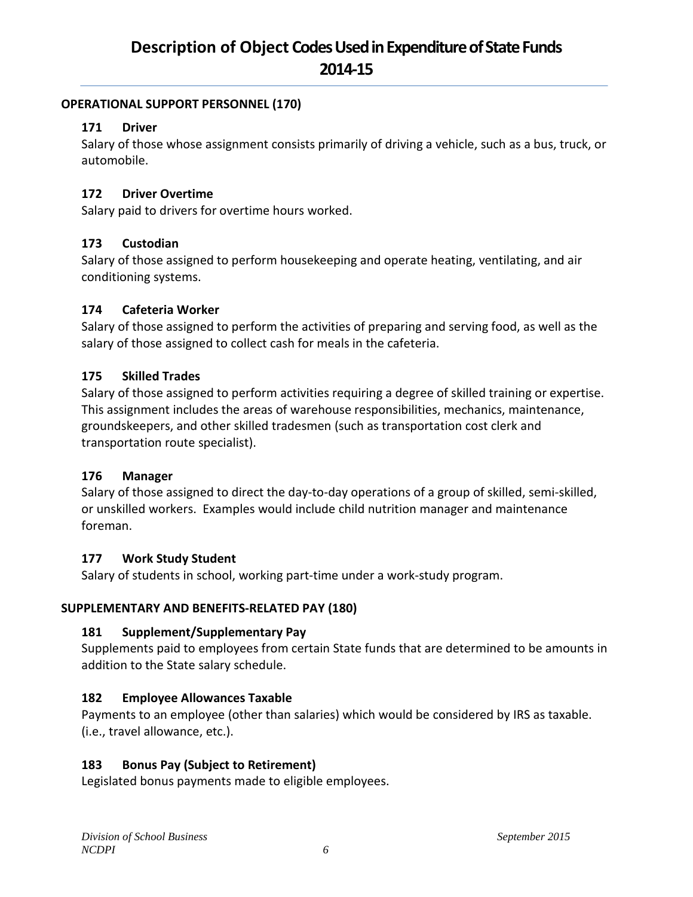#### **OPERATIONAL SUPPORT PERSONNEL (170)**

#### **171 Driver**

Salary of those whose assignment consists primarily of driving a vehicle, such as a bus, truck, or automobile.

### **172 Driver Overtime**

Salary paid to drivers for overtime hours worked.

#### **173 Custodian**

Salary of those assigned to perform housekeeping and operate heating, ventilating, and air conditioning systems.

#### **174 Cafeteria Worker**

Salary of those assigned to perform the activities of preparing and serving food, as well as the salary of those assigned to collect cash for meals in the cafeteria.

### **175 Skilled Trades**

Salary of those assigned to perform activities requiring a degree of skilled training or expertise. This assignment includes the areas of warehouse responsibilities, mechanics, maintenance, groundskeepers, and other skilled tradesmen (such as transportation cost clerk and transportation route specialist).

#### **176 Manager**

Salary of those assigned to direct the day-to-day operations of a group of skilled, semi-skilled, or unskilled workers. Examples would include child nutrition manager and maintenance foreman.

#### **177 Work Study Student**

Salary of students in school, working part-time under a work-study program.

#### **SUPPLEMENTARY AND BENEFITS-RELATED PAY (180)**

## **181 Supplement/Supplementary Pay**

Supplements paid to employees from certain State funds that are determined to be amounts in addition to the State salary schedule.

## **182 Employee Allowances Taxable**

Payments to an employee (other than salaries) which would be considered by IRS as taxable. (i.e., travel allowance, etc.).

## **183 Bonus Pay (Subject to Retirement)**

Legislated bonus payments made to eligible employees.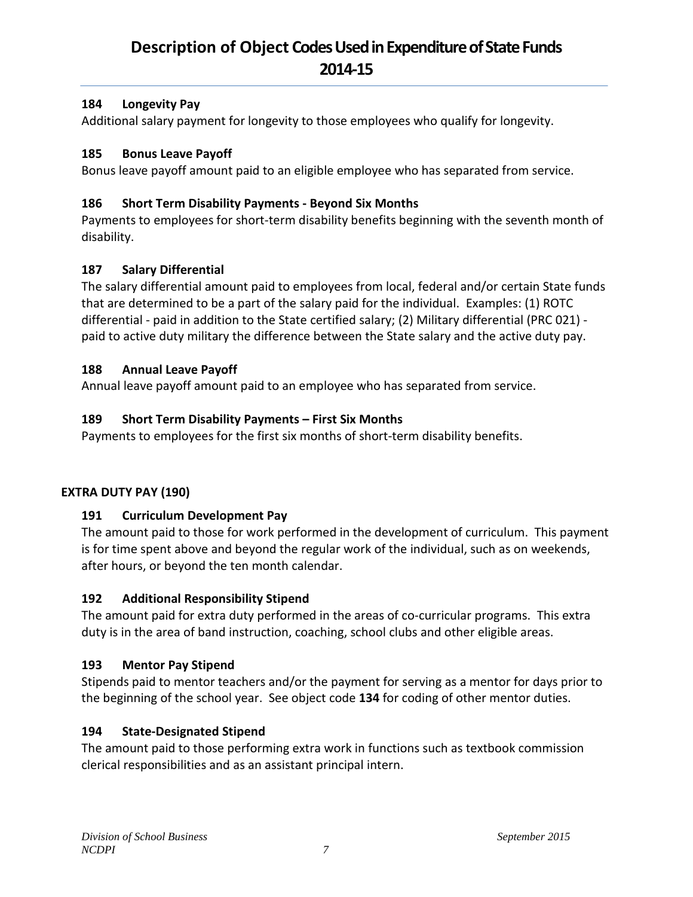#### **184 Longevity Pay**

Additional salary payment for longevity to those employees who qualify for longevity.

#### **185 Bonus Leave Payoff**

Bonus leave payoff amount paid to an eligible employee who has separated from service.

#### **186 Short Term Disability Payments - Beyond Six Months**

Payments to employees for short-term disability benefits beginning with the seventh month of disability.

#### **187 Salary Differential**

The salary differential amount paid to employees from local, federal and/or certain State funds that are determined to be a part of the salary paid for the individual. Examples: (1) ROTC differential - paid in addition to the State certified salary; (2) Military differential (PRC 021) paid to active duty military the difference between the State salary and the active duty pay.

#### **188 Annual Leave Payoff**

Annual leave payoff amount paid to an employee who has separated from service.

#### **189 Short Term Disability Payments – First Six Months**

Payments to employees for the first six months of short-term disability benefits.

#### **EXTRA DUTY PAY (190)**

#### **191 Curriculum Development Pay**

The amount paid to those for work performed in the development of curriculum. This payment is for time spent above and beyond the regular work of the individual, such as on weekends, after hours, or beyond the ten month calendar.

#### **192 Additional Responsibility Stipend**

The amount paid for extra duty performed in the areas of co-curricular programs. This extra duty is in the area of band instruction, coaching, school clubs and other eligible areas.

#### **193 Mentor Pay Stipend**

Stipends paid to mentor teachers and/or the payment for serving as a mentor for days prior to the beginning of the school year. See object code **134** for coding of other mentor duties.

#### **194 State-Designated Stipend**

The amount paid to those performing extra work in functions such as textbook commission clerical responsibilities and as an assistant principal intern.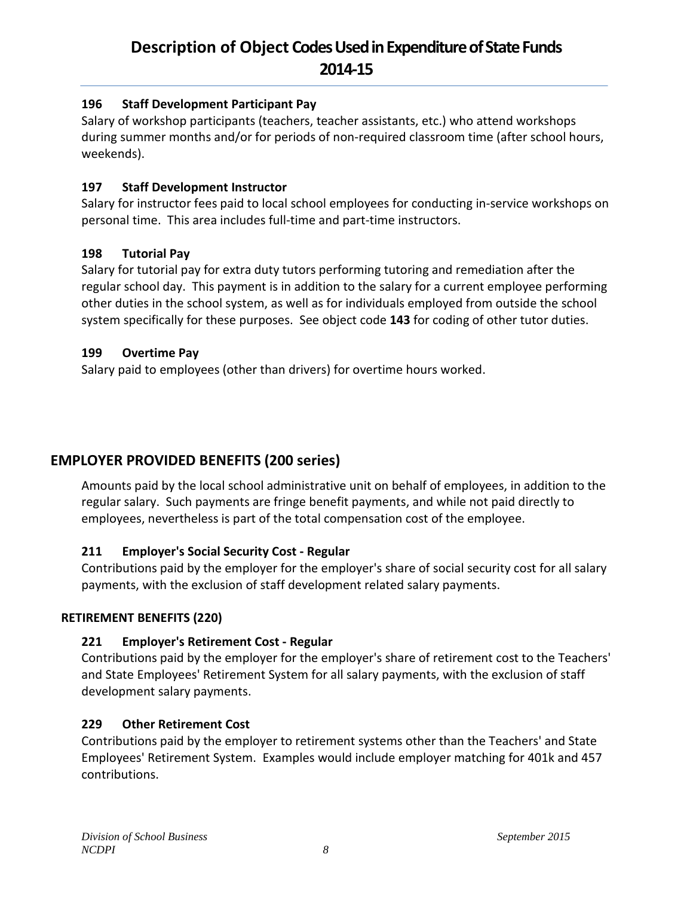#### **196 Staff Development Participant Pay**

Salary of workshop participants (teachers, teacher assistants, etc.) who attend workshops during summer months and/or for periods of non-required classroom time (after school hours, weekends).

#### **197 Staff Development Instructor**

Salary for instructor fees paid to local school employees for conducting in-service workshops on personal time. This area includes full-time and part-time instructors.

### **198 Tutorial Pay**

Salary for tutorial pay for extra duty tutors performing tutoring and remediation after the regular school day. This payment is in addition to the salary for a current employee performing other duties in the school system, as well as for individuals employed from outside the school system specifically for these purposes. See object code **143** for coding of other tutor duties.

### **199 Overtime Pay**

Salary paid to employees (other than drivers) for overtime hours worked.

## **EMPLOYER PROVIDED BENEFITS (200 series)**

Amounts paid by the local school administrative unit on behalf of employees, in addition to the regular salary. Such payments are fringe benefit payments, and while not paid directly to employees, nevertheless is part of the total compensation cost of the employee.

## **211 Employer's Social Security Cost - Regular**

Contributions paid by the employer for the employer's share of social security cost for all salary payments, with the exclusion of staff development related salary payments.

#### **RETIREMENT BENEFITS (220)**

## **221 Employer's Retirement Cost - Regular**

Contributions paid by the employer for the employer's share of retirement cost to the Teachers' and State Employees' Retirement System for all salary payments, with the exclusion of staff development salary payments.

#### **229 Other Retirement Cost**

Contributions paid by the employer to retirement systems other than the Teachers' and State Employees' Retirement System. Examples would include employer matching for 401k and 457 contributions.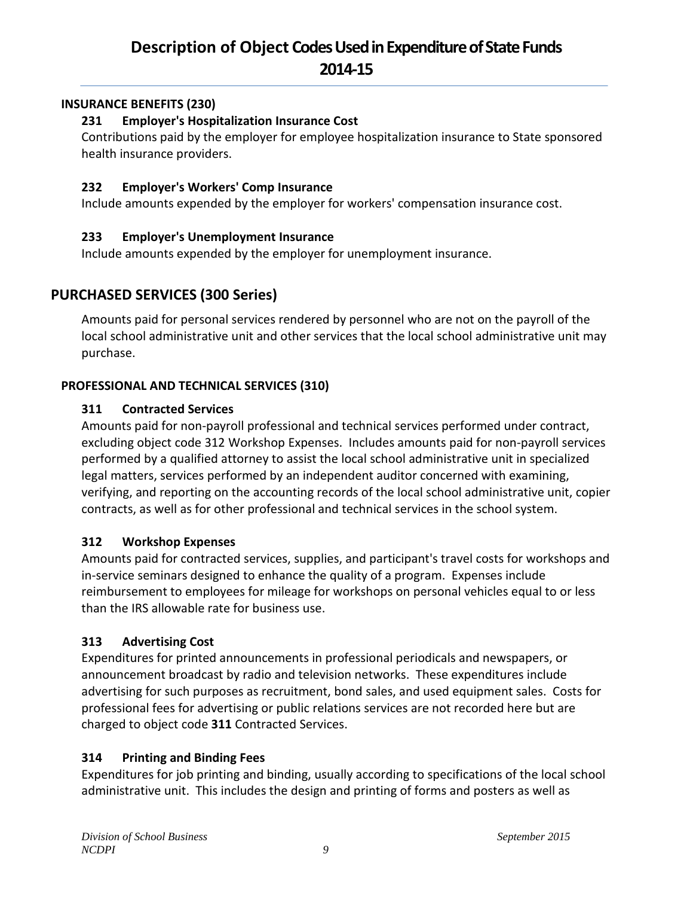#### **INSURANCE BENEFITS (230)**

### **231 Employer's Hospitalization Insurance Cost**

Contributions paid by the employer for employee hospitalization insurance to State sponsored health insurance providers.

#### **232 Employer's Workers' Comp Insurance**

Include amounts expended by the employer for workers' compensation insurance cost.

## **233 Employer's Unemployment Insurance**

Include amounts expended by the employer for unemployment insurance.

## **PURCHASED SERVICES (300 Series)**

Amounts paid for personal services rendered by personnel who are not on the payroll of the local school administrative unit and other services that the local school administrative unit may purchase.

## **PROFESSIONAL AND TECHNICAL SERVICES (310)**

### **311 Contracted Services**

Amounts paid for non-payroll professional and technical services performed under contract, excluding object code 312 Workshop Expenses. Includes amounts paid for non-payroll services performed by a qualified attorney to assist the local school administrative unit in specialized legal matters, services performed by an independent auditor concerned with examining, verifying, and reporting on the accounting records of the local school administrative unit, copier contracts, as well as for other professional and technical services in the school system.

## **312 Workshop Expenses**

Amounts paid for contracted services, supplies, and participant's travel costs for workshops and in-service seminars designed to enhance the quality of a program. Expenses include reimbursement to employees for mileage for workshops on personal vehicles equal to or less than the IRS allowable rate for business use.

## **313 Advertising Cost**

Expenditures for printed announcements in professional periodicals and newspapers, or announcement broadcast by radio and television networks. These expenditures include advertising for such purposes as recruitment, bond sales, and used equipment sales. Costs for professional fees for advertising or public relations services are not recorded here but are charged to object code **311** Contracted Services.

## **314 Printing and Binding Fees**

Expenditures for job printing and binding, usually according to specifications of the local school administrative unit. This includes the design and printing of forms and posters as well as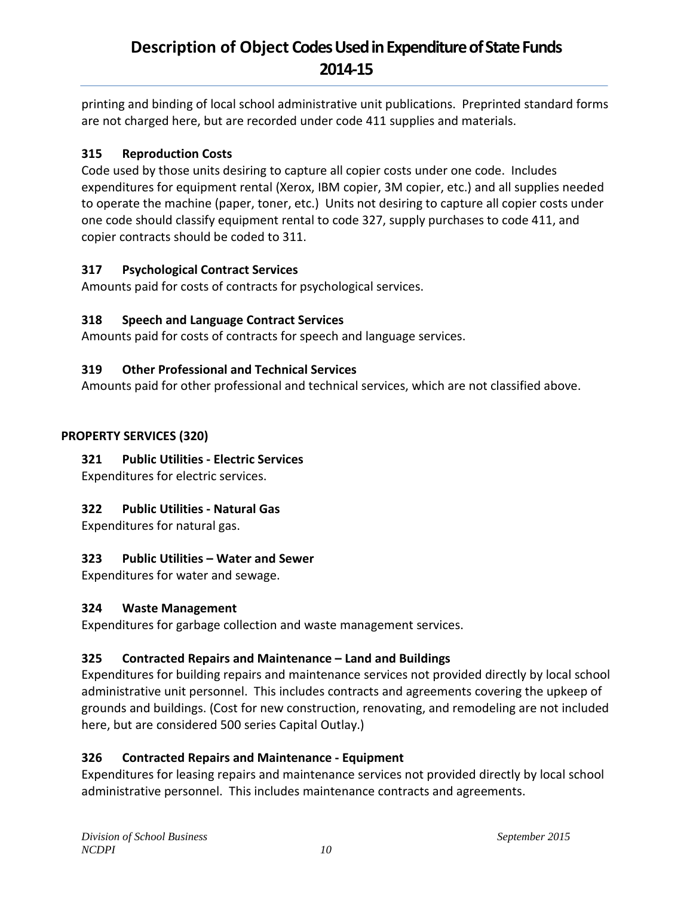printing and binding of local school administrative unit publications. Preprinted standard forms are not charged here, but are recorded under code 411 supplies and materials.

#### **315 Reproduction Costs**

Code used by those units desiring to capture all copier costs under one code. Includes expenditures for equipment rental (Xerox, IBM copier, 3M copier, etc.) and all supplies needed to operate the machine (paper, toner, etc.) Units not desiring to capture all copier costs under one code should classify equipment rental to code 327, supply purchases to code 411, and copier contracts should be coded to 311.

### **317 Psychological Contract Services**

Amounts paid for costs of contracts for psychological services.

## **318 Speech and Language Contract Services**

Amounts paid for costs of contracts for speech and language services.

### **319 Other Professional and Technical Services**

Amounts paid for other professional and technical services, which are not classified above.

### **PROPERTY SERVICES (320)**

## **321 Public Utilities - Electric Services**

Expenditures for electric services.

## **322 Public Utilities - Natural Gas**

Expenditures for natural gas.

#### **323 Public Utilities – Water and Sewer**

Expenditures for water and sewage.

#### **324 Waste Management**

Expenditures for garbage collection and waste management services.

## **325 Contracted Repairs and Maintenance – Land and Buildings**

Expenditures for building repairs and maintenance services not provided directly by local school administrative unit personnel. This includes contracts and agreements covering the upkeep of grounds and buildings. (Cost for new construction, renovating, and remodeling are not included here, but are considered 500 series Capital Outlay.)

## **326 Contracted Repairs and Maintenance - Equipment**

Expenditures for leasing repairs and maintenance services not provided directly by local school administrative personnel. This includes maintenance contracts and agreements.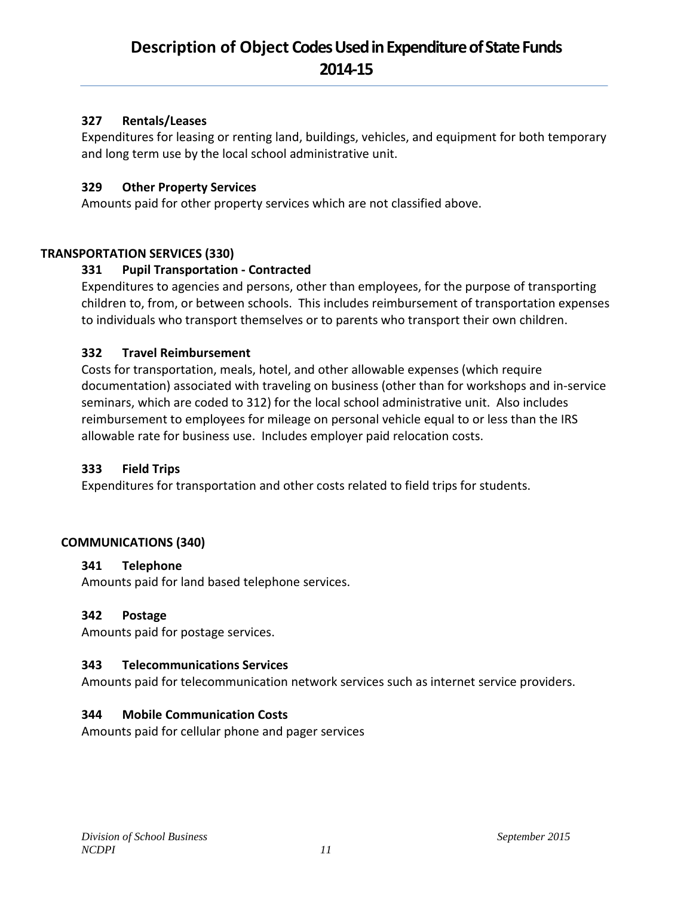#### **327 Rentals/Leases**

Expenditures for leasing or renting land, buildings, vehicles, and equipment for both temporary and long term use by the local school administrative unit.

#### **329 Other Property Services**

Amounts paid for other property services which are not classified above.

#### **TRANSPORTATION SERVICES (330)**

#### **331 Pupil Transportation - Contracted**

Expenditures to agencies and persons, other than employees, for the purpose of transporting children to, from, or between schools. This includes reimbursement of transportation expenses to individuals who transport themselves or to parents who transport their own children.

#### **332 Travel Reimbursement**

Costs for transportation, meals, hotel, and other allowable expenses (which require documentation) associated with traveling on business (other than for workshops and in-service seminars, which are coded to 312) for the local school administrative unit. Also includes reimbursement to employees for mileage on personal vehicle equal to or less than the IRS allowable rate for business use. Includes employer paid relocation costs.

#### **333 Field Trips**

Expenditures for transportation and other costs related to field trips for students.

#### **COMMUNICATIONS (340)**

#### **341 Telephone**

Amounts paid for land based telephone services.

#### **342 Postage**

Amounts paid for postage services.

#### **343 Telecommunications Services**

Amounts paid for telecommunication network services such as internet service providers.

#### **344 Mobile Communication Costs**

Amounts paid for cellular phone and pager services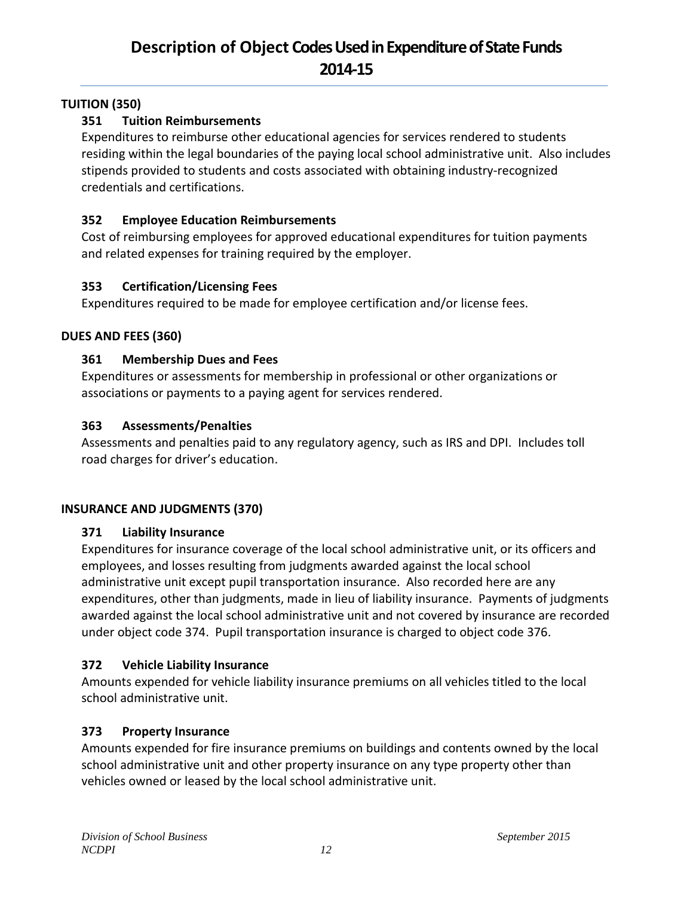#### **TUITION (350)**

### **351 Tuition Reimbursements**

Expenditures to reimburse other educational agencies for services rendered to students residing within the legal boundaries of the paying local school administrative unit. Also includes stipends provided to students and costs associated with obtaining industry-recognized credentials and certifications.

#### **352 Employee Education Reimbursements**

Cost of reimbursing employees for approved educational expenditures for tuition payments and related expenses for training required by the employer.

#### **353 Certification/Licensing Fees**

Expenditures required to be made for employee certification and/or license fees.

#### **DUES AND FEES (360)**

#### **361 Membership Dues and Fees**

Expenditures or assessments for membership in professional or other organizations or associations or payments to a paying agent for services rendered.

#### **363 Assessments/Penalties**

Assessments and penalties paid to any regulatory agency, such as IRS and DPI. Includes toll road charges for driver's education.

#### **INSURANCE AND JUDGMENTS (370)**

#### **371 Liability Insurance**

Expenditures for insurance coverage of the local school administrative unit, or its officers and employees, and losses resulting from judgments awarded against the local school administrative unit except pupil transportation insurance. Also recorded here are any expenditures, other than judgments, made in lieu of liability insurance. Payments of judgments awarded against the local school administrative unit and not covered by insurance are recorded under object code 374. Pupil transportation insurance is charged to object code 376.

#### **372 Vehicle Liability Insurance**

Amounts expended for vehicle liability insurance premiums on all vehicles titled to the local school administrative unit.

#### **373 Property Insurance**

Amounts expended for fire insurance premiums on buildings and contents owned by the local school administrative unit and other property insurance on any type property other than vehicles owned or leased by the local school administrative unit.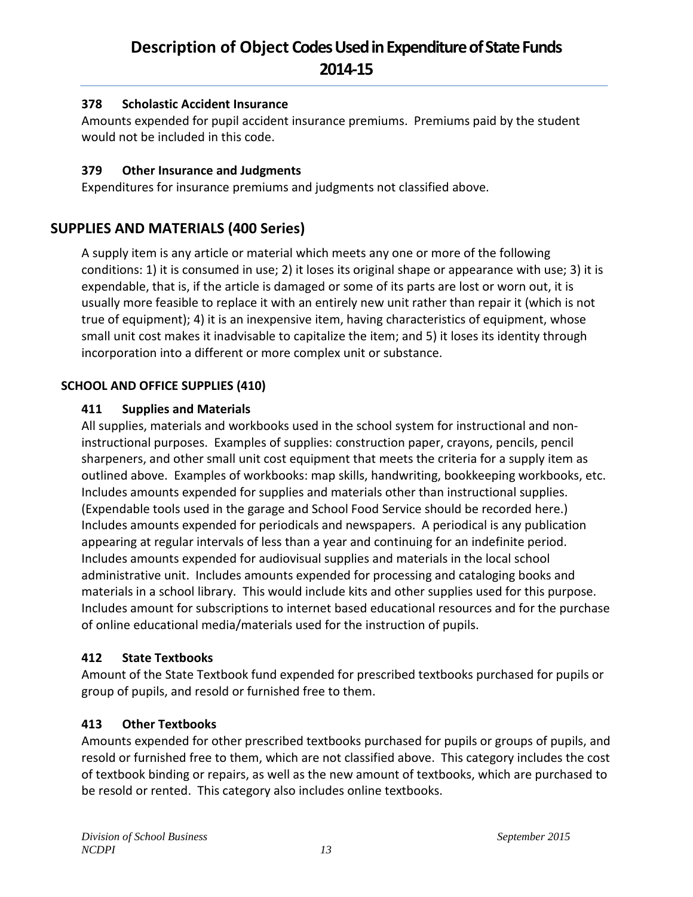### **378 Scholastic Accident Insurance**

Amounts expended for pupil accident insurance premiums. Premiums paid by the student would not be included in this code.

### **379 Other Insurance and Judgments**

Expenditures for insurance premiums and judgments not classified above.

## **SUPPLIES AND MATERIALS (400 Series)**

A supply item is any article or material which meets any one or more of the following conditions: 1) it is consumed in use; 2) it loses its original shape or appearance with use; 3) it is expendable, that is, if the article is damaged or some of its parts are lost or worn out, it is usually more feasible to replace it with an entirely new unit rather than repair it (which is not true of equipment); 4) it is an inexpensive item, having characteristics of equipment, whose small unit cost makes it inadvisable to capitalize the item; and 5) it loses its identity through incorporation into a different or more complex unit or substance.

### **SCHOOL AND OFFICE SUPPLIES (410)**

### **411 Supplies and Materials**

All supplies, materials and workbooks used in the school system for instructional and noninstructional purposes. Examples of supplies: construction paper, crayons, pencils, pencil sharpeners, and other small unit cost equipment that meets the criteria for a supply item as outlined above. Examples of workbooks: map skills, handwriting, bookkeeping workbooks, etc. Includes amounts expended for supplies and materials other than instructional supplies. (Expendable tools used in the garage and School Food Service should be recorded here.) Includes amounts expended for periodicals and newspapers. A periodical is any publication appearing at regular intervals of less than a year and continuing for an indefinite period. Includes amounts expended for audiovisual supplies and materials in the local school administrative unit. Includes amounts expended for processing and cataloging books and materials in a school library. This would include kits and other supplies used for this purpose. Includes amount for subscriptions to internet based educational resources and for the purchase of online educational media/materials used for the instruction of pupils.

#### **412 State Textbooks**

Amount of the State Textbook fund expended for prescribed textbooks purchased for pupils or group of pupils, and resold or furnished free to them.

## **413 Other Textbooks**

Amounts expended for other prescribed textbooks purchased for pupils or groups of pupils, and resold or furnished free to them, which are not classified above. This category includes the cost of textbook binding or repairs, as well as the new amount of textbooks, which are purchased to be resold or rented. This category also includes online textbooks.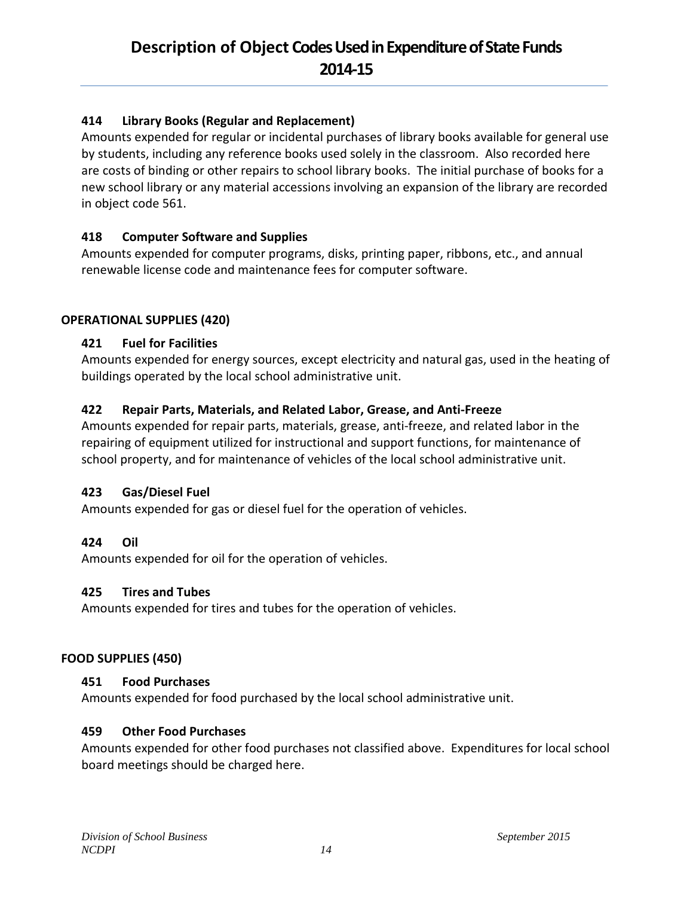### **414 Library Books (Regular and Replacement)**

Amounts expended for regular or incidental purchases of library books available for general use by students, including any reference books used solely in the classroom. Also recorded here are costs of binding or other repairs to school library books. The initial purchase of books for a new school library or any material accessions involving an expansion of the library are recorded in object code 561.

### **418 Computer Software and Supplies**

Amounts expended for computer programs, disks, printing paper, ribbons, etc., and annual renewable license code and maintenance fees for computer software.

#### **OPERATIONAL SUPPLIES (420)**

#### **421 Fuel for Facilities**

Amounts expended for energy sources, except electricity and natural gas, used in the heating of buildings operated by the local school administrative unit.

#### **422 Repair Parts, Materials, and Related Labor, Grease, and Anti-Freeze**

Amounts expended for repair parts, materials, grease, anti-freeze, and related labor in the repairing of equipment utilized for instructional and support functions, for maintenance of school property, and for maintenance of vehicles of the local school administrative unit.

#### **423 Gas/Diesel Fuel**

Amounts expended for gas or diesel fuel for the operation of vehicles.

#### **424 Oil**

Amounts expended for oil for the operation of vehicles.

#### **425 Tires and Tubes**

Amounts expended for tires and tubes for the operation of vehicles.

#### **FOOD SUPPLIES (450)**

#### **451 Food Purchases**

Amounts expended for food purchased by the local school administrative unit.

#### **459 Other Food Purchases**

Amounts expended for other food purchases not classified above. Expenditures for local school board meetings should be charged here.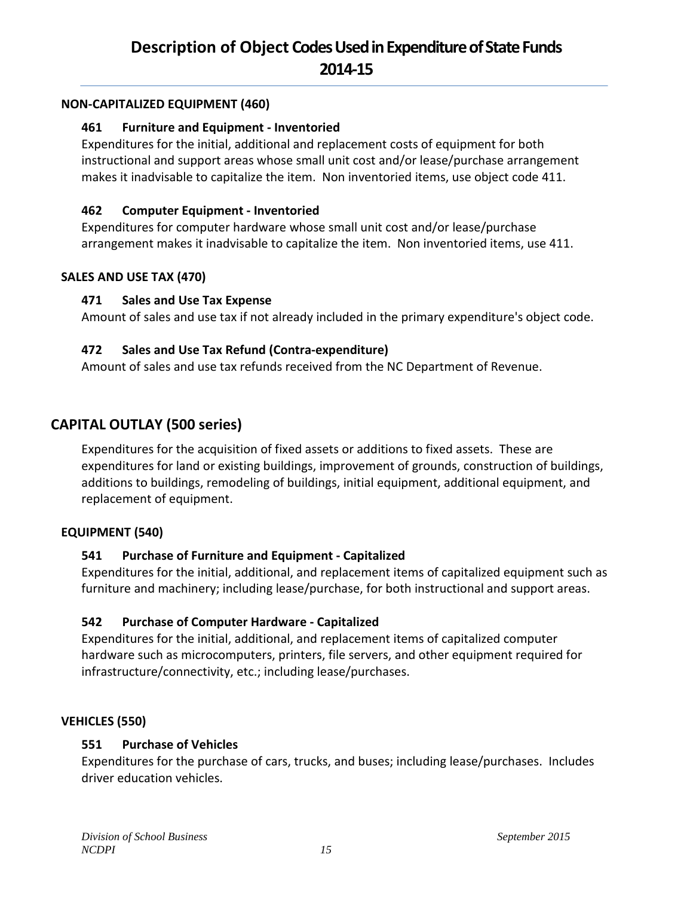#### **NON-CAPITALIZED EQUIPMENT (460)**

#### **461 Furniture and Equipment - Inventoried**

Expenditures for the initial, additional and replacement costs of equipment for both instructional and support areas whose small unit cost and/or lease/purchase arrangement makes it inadvisable to capitalize the item. Non inventoried items, use object code 411.

#### **462 Computer Equipment - Inventoried**

Expenditures for computer hardware whose small unit cost and/or lease/purchase arrangement makes it inadvisable to capitalize the item. Non inventoried items, use 411.

#### **SALES AND USE TAX (470)**

#### **471 Sales and Use Tax Expense**

Amount of sales and use tax if not already included in the primary expenditure's object code.

#### **472 Sales and Use Tax Refund (Contra-expenditure)**

Amount of sales and use tax refunds received from the NC Department of Revenue.

## **CAPITAL OUTLAY (500 series)**

Expenditures for the acquisition of fixed assets or additions to fixed assets. These are expenditures for land or existing buildings, improvement of grounds, construction of buildings, additions to buildings, remodeling of buildings, initial equipment, additional equipment, and replacement of equipment.

#### **EQUIPMENT (540)**

#### **541 Purchase of Furniture and Equipment - Capitalized**

Expenditures for the initial, additional, and replacement items of capitalized equipment such as furniture and machinery; including lease/purchase, for both instructional and support areas.

#### **542 Purchase of Computer Hardware - Capitalized**

Expenditures for the initial, additional, and replacement items of capitalized computer hardware such as microcomputers, printers, file servers, and other equipment required for infrastructure/connectivity, etc.; including lease/purchases.

#### **VEHICLES (550)**

#### **551 Purchase of Vehicles**

Expenditures for the purchase of cars, trucks, and buses; including lease/purchases. Includes driver education vehicles.